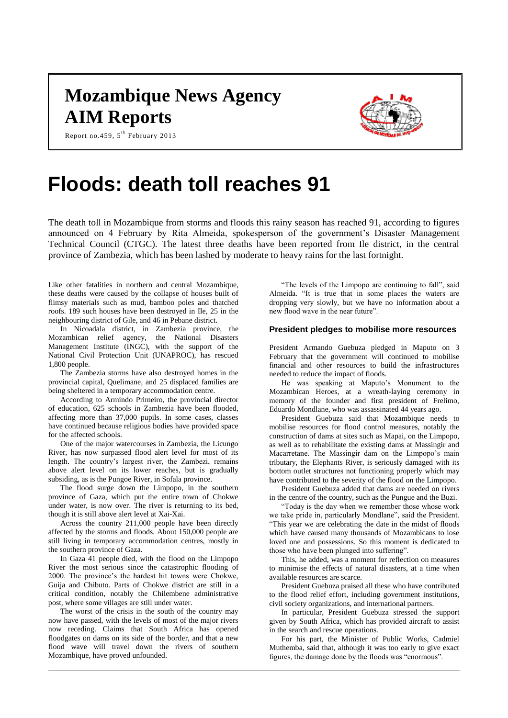# **Mozambique News Agency AIM Reports**



Report no.459,  $5^{\text{th}}$  February 2013

# **Floods: death toll reaches 91**

The death toll in Mozambique from storms and floods this rainy season has reached 91, according to figures announced on 4 February by Rita Almeida, spokesperson of the government's Disaster Management Technical Council (CTGC). The latest three deaths have been reported from Ile district, in the central province of Zambezia, which has been lashed by moderate to heavy rains for the last fortnight.

Like other fatalities in northern and central Mozambique, these deaths were caused by the collapse of houses built of flimsy materials such as mud, bamboo poles and thatched roofs. 189 such houses have been destroyed in Ile, 25 in the neighbouring district of Gile, and 46 in Pebane district.

In Nicoadala district, in Zambezia province, the Mozambican relief agency, the National Disasters Management Institute (INGC), with the support of the National Civil Protection Unit (UNAPROC), has rescued 1,800 people.

The Zambezia storms have also destroyed homes in the provincial capital, Quelimane, and 25 displaced families are being sheltered in a temporary accommodation centre.

According to Armindo Primeiro, the provincial director of education, 625 schools in Zambezia have been flooded, affecting more than 37,000 pupils. In some cases, classes have continued because religious bodies have provided space for the affected schools.

One of the major watercourses in Zambezia, the Licungo River, has now surpassed flood alert level for most of its length. The country's largest river, the Zambezi, remains above alert level on its lower reaches, but is gradually subsiding, as is the Pungoe River, in Sofala province.

The flood surge down the Limpopo, in the southern province of Gaza, which put the entire town of Chokwe under water, is now over. The river is returning to its bed, though it is still above alert level at Xai-Xai.

Across the country 211,000 people have been directly affected by the storms and floods. About 150,000 people are still living in temporary accommodation centres, mostly in the southern province of Gaza.

In Gaza 41 people died, with the flood on the Limpopo River the most serious since the catastrophic flooding of 2000. The province's the hardest hit towns were Chokwe, Guija and Chibuto. Parts of Chokwe district are still in a critical condition, notably the Chilembene administrative post, where some villages are still under water.

The worst of the crisis in the south of the country may now have passed, with the levels of most of the major rivers now receding. Claims that South Africa has opened floodgates on dams on its side of the border, and that a new flood wave will travel down the rivers of southern Mozambique, have proved unfounded.

"The levels of the Limpopo are continuing to fall", said Almeida. "It is true that in some places the waters are dropping very slowly, but we have no information about a new flood wave in the near future".

#### **President pledges to mobilise more resources**

President Armando Guebuza pledged in Maputo on 3 February that the government will continued to mobilise financial and other resources to build the infrastructures needed to reduce the impact of floods.

He was speaking at Maputo's Monument to the Mozambican Heroes, at a wreath-laying ceremony in memory of the founder and first president of Frelimo, Eduardo Mondlane, who was assassinated 44 years ago.

President Guebuza said that Mozambique needs to mobilise resources for flood control measures, notably the construction of dams at sites such as Mapai, on the Limpopo, as well as to rehabilitate the existing dams at Massingir and Macarretane. The Massingir dam on the Limpopo's main tributary, the Elephants River, is seriously damaged with its bottom outlet structures not functioning properly which may have contributed to the severity of the flood on the Limpopo.

President Guebuza added that dams are needed on rivers in the centre of the country, such as the Pungue and the Buzi.

"Today is the day when we remember those whose work we take pride in, particularly Mondlane", said the President. "This year we are celebrating the date in the midst of floods which have caused many thousands of Mozambicans to lose loved one and possessions. So this moment is dedicated to those who have been plunged into suffering".

This, he added, was a moment for reflection on measures to minimise the effects of natural disasters, at a time when available resources are scarce.

President Guebuza praised all these who have contributed to the flood relief effort, including government institutions, civil society organizations, and international partners.

In particular, President Guebuza stressed the support given by South Africa, which has provided aircraft to assist in the search and rescue operations.

For his part, the Minister of Public Works, Cadmiel Muthemba, said that, although it was too early to give exact figures, the damage done by the floods was "enormous".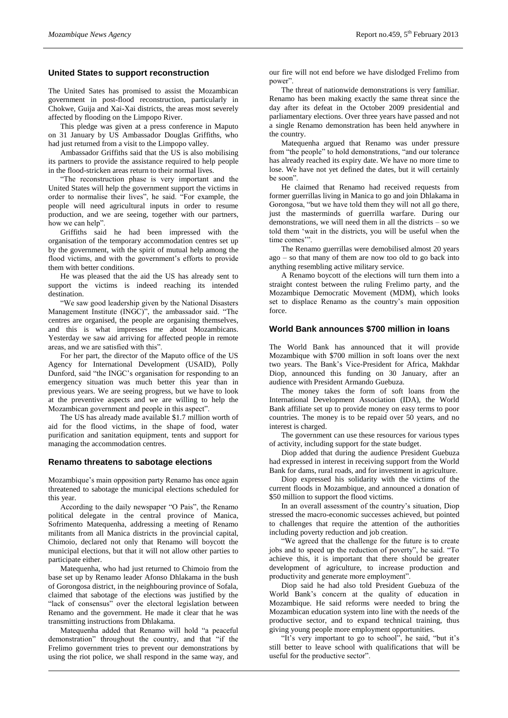#### **United States to support reconstruction**

The United Sates has promised to assist the Mozambican government in post-flood reconstruction, particularly in Chokwe, Guija and Xai-Xai districts, the areas most severely affected by flooding on the Limpopo River.

This pledge was given at a press conference in Maputo on 31 January by US Ambassador Douglas Griffiths, who had just returned from a visit to the Limpopo valley.

Ambassador Griffiths said that the US is also mobilising its partners to provide the assistance required to help people in the flood-stricken areas return to their normal lives.

"The reconstruction phase is very important and the United States will help the government support the victims in order to normalise their lives", he said. "For example, the people will need agricultural inputs in order to resume production, and we are seeing, together with our partners, how we can help"

Griffiths said he had been impressed with the organisation of the temporary accommodation centres set up by the government, with the spirit of mutual help among the flood victims, and with the government's efforts to provide them with better conditions.

He was pleased that the aid the US has already sent to support the victims is indeed reaching its intended destination.

"We saw good leadership given by the National Disasters Management Institute (INGC)", the ambassador said. "The centres are organised, the people are organising themselves, and this is what impresses me about Mozambicans. Yesterday we saw aid arriving for affected people in remote areas, and we are satisfied with this".

For her part, the director of the Maputo office of the US Agency for International Development (USAID), Polly Dunford, said "the INGC's organisation for responding to an emergency situation was much better this year than in previous years. We are seeing progress, but we have to look at the preventive aspects and we are willing to help the Mozambican government and people in this aspect".

The US has already made available \$1.7 million worth of aid for the flood victims, in the shape of food, water purification and sanitation equipment, tents and support for managing the accommodation centres.

#### **Renamo threatens to sabotage elections**

Mozambique's main opposition party Renamo has once again threatened to sabotage the municipal elections scheduled for this year.

According to the daily newspaper "O Pais", the Renamo political delegate in the central province of Manica, Sofrimento Matequenha, addressing a meeting of Renamo militants from all Manica districts in the provincial capital, Chimoio, declared not only that Renamo will boycott the municipal elections, but that it will not allow other parties to participate either.

Matequenha, who had just returned to Chimoio from the base set up by Renamo leader Afonso Dhlakama in the bush of Gorongosa district, in the neighbouring province of Sofala, claimed that sabotage of the elections was justified by the "lack of consensus" over the electoral legislation between Renamo and the government. He made it clear that he was transmitting instructions from Dhlakama.

Matequenha added that Renamo will hold "a peaceful demonstration" throughout the country, and that "if the Frelimo government tries to prevent our demonstrations by using the riot police, we shall respond in the same way, and our fire will not end before we have dislodged Frelimo from power".

The threat of nationwide demonstrations is very familiar. Renamo has been making exactly the same threat since the day after its defeat in the October 2009 presidential and parliamentary elections. Over three years have passed and not a single Renamo demonstration has been held anywhere in the country.

Matequenha argued that Renamo was under pressure from "the people" to hold demonstrations, "and our tolerance has already reached its expiry date. We have no more time to lose. We have not yet defined the dates, but it will certainly be soon".

He claimed that Renamo had received requests from former guerrillas living in Manica to go and join Dhlakama in Gorongosa, "but we have told them they will not all go there, just the masterminds of guerrilla warfare. During our demonstrations, we will need them in all the districts – so we told them 'wait in the districts, you will be useful when the time comes'".

The Renamo guerrillas were demobilised almost 20 years ago – so that many of them are now too old to go back into anything resembling active military service.

A Renamo boycott of the elections will turn them into a straight contest between the ruling Frelimo party, and the Mozambique Democratic Movement (MDM), which looks set to displace Renamo as the country's main opposition force.

#### **World Bank announces \$700 million in loans**

The World Bank has announced that it will provide Mozambique with \$700 million in soft loans over the next two years. The Bank's Vice-President for Africa, Makhdar Diop, announced this funding on 30 January, after an audience with President Armando Guebuza.

The money takes the form of soft loans from the International Development Association (IDA), the World Bank affiliate set up to provide money on easy terms to poor countries. The money is to be repaid over 50 years, and no interest is charged.

The government can use these resources for various types of activity, including support for the state budget.

Diop added that during the audience President Guebuza had expressed in interest in receiving support from the World Bank for dams, rural roads, and for investment in agriculture.

Diop expressed his solidarity with the victims of the current floods in Mozambique, and announced a donation of \$50 million to support the flood victims.

In an overall assessment of the country's situation, Diop stressed the macro-economic successes achieved, but pointed to challenges that require the attention of the authorities including poverty reduction and job creation.

"We agreed that the challenge for the future is to create jobs and to speed up the reduction of poverty", he said. "To achieve this, it is important that there should be greater development of agriculture, to increase production and productivity and generate more employment".

Diop said he had also told President Guebuza of the World Bank's concern at the quality of education in Mozambique. He said reforms were needed to bring the Mozambican education system into line with the needs of the productive sector, and to expand technical training, thus giving young people more employment opportunities.

"It's very important to go to school", he said, "but it's still better to leave school with qualifications that will be useful for the productive sector".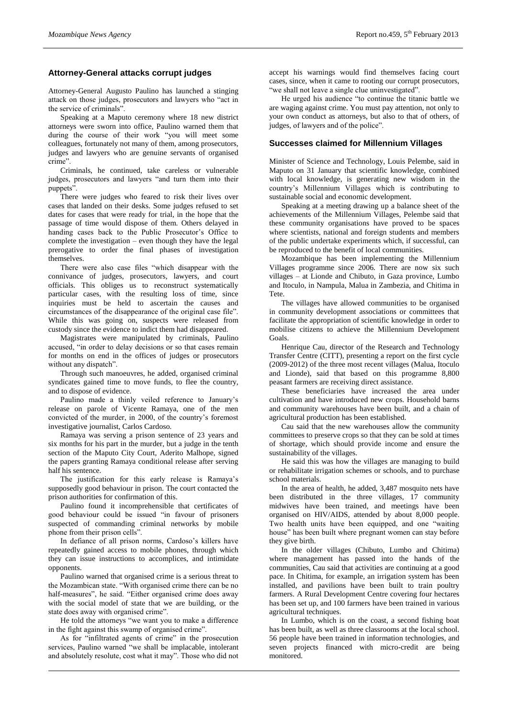# **Attorney-General attacks corrupt judges**

Attorney-General Augusto Paulino has launched a stinging attack on those judges, prosecutors and lawyers who "act in the service of criminals".

Speaking at a Maputo ceremony where 18 new district attorneys were sworn into office, Paulino warned them that during the course of their work "you will meet some colleagues, fortunately not many of them, among prosecutors, judges and lawyers who are genuine servants of organised crime".

Criminals, he continued, take careless or vulnerable judges, prosecutors and lawyers "and turn them into their puppets".

There were judges who feared to risk their lives over cases that landed on their desks. Some judges refused to set dates for cases that were ready for trial, in the hope that the passage of time would dispose of them. Others delayed in handing cases back to the Public Prosecutor's Office to complete the investigation – even though they have the legal prerogative to order the final phases of investigation themselves.

There were also case files "which disappear with the connivance of judges, prosecutors, lawyers, and court officials. This obliges us to reconstruct systematically particular cases, with the resulting loss of time, since inquiries must be held to ascertain the causes and circumstances of the disappearance of the original case file". While this was going on, suspects were released from custody since the evidence to indict them had disappeared.

Magistrates were manipulated by criminals, Paulino accused, "in order to delay decisions or so that cases remain for months on end in the offices of judges or prosecutors without any dispatch".

Through such manoeuvres, he added, organised criminal syndicates gained time to move funds, to flee the country, and to dispose of evidence.

Paulino made a thinly veiled reference to January's release on parole of Vicente Ramaya, one of the men convicted of the murder, in 2000, of the country's foremost investigative journalist, Carlos Cardoso.

Ramaya was serving a prison sentence of 23 years and six months for his part in the murder, but a judge in the tenth section of the Maputo City Court, Aderito Malhope, signed the papers granting Ramaya conditional release after serving half his sentence.

The justification for this early release is Ramaya's supposedly good behaviour in prison. The court contacted the prison authorities for confirmation of this.

Paulino found it incomprehensible that certificates of good behaviour could be issued "in favour of prisoners suspected of commanding criminal networks by mobile phone from their prison cells".

In defiance of all prison norms, Cardoso's killers have repeatedly gained access to mobile phones, through which they can issue instructions to accomplices, and intimidate opponents.

Paulino warned that organised crime is a serious threat to the Mozambican state. "With organised crime there can be no half-measures", he said. "Either organised crime does away with the social model of state that we are building, or the state does away with organised crime".

He told the attorneys "we want you to make a difference in the fight against this swamp of organised crime".

As for "infiltrated agents of crime" in the prosecution services, Paulino warned "we shall be implacable, intolerant and absolutely resolute, cost what it may". Those who did not accept his warnings would find themselves facing court cases, since, when it came to rooting our corrupt prosecutors, "we shall not leave a single clue uninvestigated".

He urged his audience "to continue the titanic battle we are waging against crime. You must pay attention, not only to your own conduct as attorneys, but also to that of others, of judges, of lawyers and of the police".

## **Successes claimed for Millennium Villages**

Minister of Science and Technology, Louis Pelembe, said in Maputo on 31 January that scientific knowledge, combined with local knowledge, is generating new wisdom in the country's Millennium Villages which is contributing to sustainable social and economic development.

Speaking at a meeting drawing up a balance sheet of the achievements of the Millennium Villages, Pelembe said that these community organisations have proved to be spaces where scientists, national and foreign students and members of the public undertake experiments which, if successful, can be reproduced to the benefit of local communities.

Mozambique has been implementing the Millennium Villages programme since 2006. There are now six such villages – at Lionde and Chibuto, in Gaza province, Lumbo and Itoculo, in Nampula, Malua in Zambezia, and Chitima in Tete.

The villages have allowed communities to be organised in community development associations or committees that facilitate the appropriation of scientific knowledge in order to mobilise citizens to achieve the Millennium Development Goals.

Henrique Cau, director of the Research and Technology Transfer Centre (CITT), presenting a report on the first cycle (2009-2012) of the three most recent villages (Malua, Itoculo and Lionde), said that based on this programme 8,800 peasant farmers are receiving direct assistance.

These beneficiaries have increased the area under cultivation and have introduced new crops. Household barns and community warehouses have been built, and a chain of agricultural production has been established.

Cau said that the new warehouses allow the community committees to preserve crops so that they can be sold at times of shortage, which should provide income and ensure the sustainability of the villages.

He said this was how the villages are managing to build or rehabilitate irrigation schemes or schools, and to purchase school materials.

In the area of health, he added, 3,487 mosquito nets have been distributed in the three villages, 17 community midwives have been trained, and meetings have been organised on HIV/AIDS, attended by about 8,000 people. Two health units have been equipped, and one "waiting house" has been built where pregnant women can stay before they give birth.

In the older villages (Chibuto, Lumbo and Chitima) where management has passed into the hands of the communities, Cau said that activities are continuing at a good pace. In Chitima, for example, an irrigation system has been installed, and pavilions have been built to train poultry farmers. A Rural Development Centre covering four hectares has been set up, and 100 farmers have been trained in various agricultural techniques.

In Lumbo, which is on the coast, a second fishing boat has been built, as well as three classrooms at the local school. 56 people have been trained in information technologies, and seven projects financed with micro-credit are being monitored.